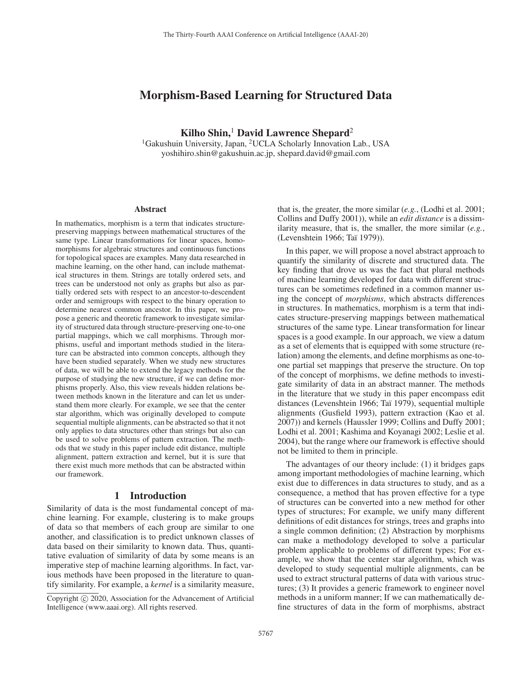# Morphism-Based Learning for Structured Data

Kilho Shin, $<sup>1</sup>$  David Lawrence Shepard<sup>2</sup></sup>

<sup>1</sup>Gakushuin University, Japan, <sup>2</sup>UCLA Scholarly Innovation Lab., USA yoshihiro.shin@gakushuin.ac.jp, shepard.david@gmail.com

#### Abstract

In mathematics, morphism is a term that indicates structurepreserving mappings between mathematical structures of the same type. Linear transformations for linear spaces, homomorphisms for algebraic structures and continuous functions for topological spaces are examples. Many data researched in machine learning, on the other hand, can include mathematical structures in them. Strings are totally ordered sets, and trees can be understood not only as graphs but also as partially ordered sets with respect to an ancestor-to-descendent order and semigroups with respect to the binary operation to determine nearest common ancestor. In this paper, we propose a generic and theoretic framework to investigate similarity of structured data through structure-preserving one-to-one partial mappings, which we call morphisms. Through morphisms, useful and important methods studied in the literature can be abstracted into common concepts, although they have been studied separately. When we study new structures of data, we will be able to extend the legacy methods for the purpose of studying the new structure, if we can define morphisms properly. Also, this view reveals hidden relations between methods known in the literature and can let us understand them more clearly. For example, we see that the center star algorithm, which was originally developed to compute sequential multiple alignments, can be abstracted so that it not only applies to data structures other than strings but also can be used to solve problems of pattern extraction. The methods that we study in this paper include edit distance, multiple alignment, pattern extraction and kernel, but it is sure that there exist much more methods that can be abstracted within our framework.

### 1 Introduction

Similarity of data is the most fundamental concept of machine learning. For example, clustering is to make groups of data so that members of each group are similar to one another, and classification is to predict unknown classes of data based on their similarity to known data. Thus, quantitative evaluation of similarity of data by some means is an imperative step of machine learning algorithms. In fact, various methods have been proposed in the literature to quantify similarity. For example, a *kernel* is a similarity measure,

that is, the greater, the more similar (*e.g.*, (Lodhi et al. 2001; Collins and Duffy 2001)), while an *edit distance* is a dissimilarity measure, that is, the smaller, the more similar (*e.g.*, (Levenshtein 1966; Taï 1979)).

In this paper, we will propose a novel abstract approach to quantify the similarity of discrete and structured data. The key finding that drove us was the fact that plural methods of machine learning developed for data with different structures can be sometimes redefined in a common manner using the concept of *morphisms*, which abstracts differences in structures. In mathematics, morphism is a term that indicates structure-preserving mappings between mathematical structures of the same type. Linear transformation for linear spaces is a good example. In our approach, we view a datum as a set of elements that is equipped with some structure (relation) among the elements, and define morphisms as one-toone partial set mappings that preserve the structure. On top of the concept of morphisms, we define methods to investigate similarity of data in an abstract manner. The methods in the literature that we study in this paper encompass edit distances (Levenshtein 1966; Taï 1979), sequential multiple alignments (Gusfield 1993), pattern extraction (Kao et al. 2007)) and kernels (Haussler 1999; Collins and Duffy 2001; Lodhi et al. 2001; Kashima and Koyanagi 2002; Leslie et al. 2004), but the range where our framework is effective should not be limited to them in principle.

The advantages of our theory include: (1) it bridges gaps among important methodologies of machine learning, which exist due to differences in data structures to study, and as a consequence, a method that has proven effective for a type of structures can be converted into a new method for other types of structures; For example, we unify many different definitions of edit distances for strings, trees and graphs into a single common definition; (2) Abstraction by morphisms can make a methodology developed to solve a particular problem applicable to problems of different types; For example, we show that the center star algorithm, which was developed to study sequential multiple alignments, can be used to extract structural patterns of data with various structures; (3) It provides a generic framework to engineer novel methods in a uniform manner; If we can mathematically define structures of data in the form of morphisms, abstract

Copyright  $\odot$  2020, Association for the Advancement of Artificial Intelligence (www.aaai.org). All rights reserved.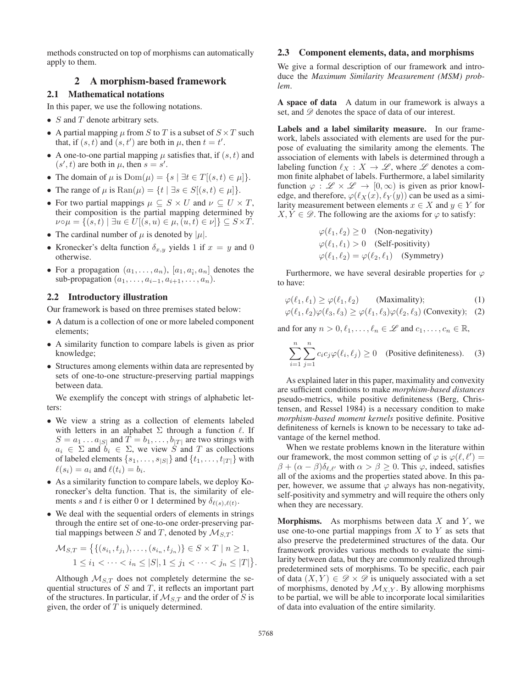methods constructed on top of morphisms can automatically apply to them.

## 2 A morphism-based framework

### 2.1 Mathematical notations

In this paper, we use the following notations.

- $S$  and  $T$  denote arbitrary sets.
- A partial mapping  $\mu$  from S to T is a subset of  $S \times T$  such that, if  $(s, t)$  and  $(s, t')$  are both in  $\mu$ , then  $t = t'$ .
- A one-to-one partial mapping  $\mu$  satisfies that, if  $(s, t)$  and  $(s', t)$  are both in  $\mu$ , then  $s = s'$ .
- The domain of  $\mu$  is  $Dom(\mu) = \{s \mid \exists t \in T | (s, t) \in \mu \}$ .
- The range of  $\mu$  is  $\text{Ran}(\mu) = \{t \mid \exists s \in S | (s, t) \in \mu \}$ .
- For two partial mappings  $\mu \subseteq S \times U$  and  $\nu \subseteq U \times T$ , their composition is the partial mapping determined by  $\nu \circ \mu = \{(s, t) \mid \exists u \in U | (s, u) \in \mu, (u, t) \in \nu \} \subseteq S \times T.$
- The cardinal number of  $\mu$  is denoted by  $|\mu|$ .
- Kronecker's delta function  $\delta_{x,y}$  yields 1 if  $x = y$  and 0 otherwise.
- For a propagation  $(a_1, \ldots, a_n)$ ,  $[a_1, a_i, a_n]$  denotes the sub-propagation  $(a_1, \ldots, a_{i-1}, a_{i+1}, \ldots, a_n)$ .

## 2.2 Introductory illustration

Our framework is based on three premises stated below:

- A datum is a collection of one or more labeled component elements;
- A similarity function to compare labels is given as prior knowledge;
- Structures among elements within data are represented by sets of one-to-one structure-preserving partial mappings between data.

We exemplify the concept with strings of alphabetic letters:

- We view a string as a collection of elements labeled with letters in an alphabet  $\Sigma$  through a function  $\ell$ . If  $S = a_1 \dots a_{|S|}$  and  $\overline{T} = b_1, \dots, b_{|T|}$  are two strings with  $a_i \in \Sigma$  and  $b_i \in \Sigma$ , we view S and T as collections of labeled elements  $\{s_1, \ldots, s_{|S|}\}\$  and  $\{t_1, \ldots, t_{|T|}\}\$  with  $\ell(s_i) = a_i$  and  $\ell(t_i) = b_i$ .
- As a similarity function to compare labels, we deploy Koronecker's delta function. That is, the similarity of elements s and t is either 0 or 1 determined by  $\delta_{\ell(s),\ell(t)}$ .
- We deal with the sequential orders of elements in strings through the entire set of one-to-one order-preserving partial mappings between S and T, denoted by  $\mathcal{M}_{S,T}$ :

$$
\mathcal{M}_{S,T} = \{ \{ (s_{i_1}, t_{j_1}), \dots, (s_{i_n}, t_{j_n}) \} \in S \times T \mid n \ge 1, 1 \le i_1 < \dots < i_n \le |S|, 1 \le j_1 < \dots < j_n \le |T| \}.
$$

Although  $M_{S,T}$  does not completely determine the sequential structures of  $S$  and  $T$ , it reflects an important part of the structures. In particular, if  $\mathcal{M}_{S,T}$  and the order of S is given, the order of  $T$  is uniquely determined.

### 2.3 Component elements, data, and morphisms

We give a formal description of our framework and introduce the *Maximum Similarity Measurement (MSM) problem*.

A space of data A datum in our framework is always a set, and  $\mathscr{D}$  denotes the space of data of our interest.

Labels and a label similarity measure. In our framework, labels associated with elements are used for the purpose of evaluating the similarity among the elements. The association of elements with labels is determined through a labeling function  $\ell_X : X \to \mathscr{L}$ , where  $\mathscr{L}$  denotes a common finite alphabet of labels. Furthermore, a label similarity function  $\varphi : \mathscr{L} \times \mathscr{L} \to [0, \infty)$  is given as prior knowledge, and therefore,  $\varphi(\ell_X(x), \ell_Y(y))$  can be used as a similarity measurement between elements  $x \in X$  and  $y \in Y$  for  $X, Y \in \mathscr{D}$ . The following are the axioms for  $\varphi$  to satisfy:

$$
\varphi(\ell_1, \ell_2) \ge 0 \quad \text{(Non-negativity)}
$$
  
\n
$$
\varphi(\ell_1, \ell_1) > 0 \quad \text{(Self-positivity)}
$$
  
\n
$$
\varphi(\ell_1, \ell_2) = \varphi(\ell_2, \ell_1) \quad \text{(Symmetry)}
$$

Furthermore, we have several desirable properties for  $\varphi$ to have:

$$
\varphi(\ell_1, \ell_1) \ge \varphi(\ell_1, \ell_2) \qquad \text{(Maximality)}; \tag{1}
$$

$$
\varphi(\ell_1, \ell_2)\varphi(\ell_3, \ell_3) \ge \varphi(\ell_1, \ell_3)\varphi(\ell_2, \ell_3) \text{ (Convexity)}; \quad (2)
$$

and for any  $n > 0, \ell_1, \ldots, \ell_n \in \mathcal{L}$  and  $c_1, \ldots, c_n \in \mathbb{R}$ ,

$$
\sum_{i=1}^{n} \sum_{j=1}^{n} c_i c_j \varphi(\ell_i, \ell_j) \ge 0 \quad \text{(Positive definiteness)}.
$$
 (3)

As explained later in this paper, maximality and convexity are sufficient conditions to make *morphism-based distances* pseudo-metrics, while positive definiteness (Berg, Christensen, and Ressel 1984) is a necessary condition to make *morphism-based moment kernels* positive definite. Positive definiteness of kernels is known to be necessary to take advantage of the kernel method.

When we restate problems known in the literature within our framework, the most common setting of  $\varphi$  is  $\varphi(\ell, \ell') =$  $\beta + (\alpha - \beta)\delta_{\ell,\ell'}$  with  $\alpha > \beta \ge 0$ . This  $\varphi$ , indeed, satisfies all of the axioms and the properties stated above. In this paper, however, we assume that  $\varphi$  always has non-negativity, self-positivity and symmetry and will require the others only when they are necessary.

**Morphisms.** As morphisms between data  $X$  and  $Y$ , we use one-to-one partial mappings from  $X$  to  $Y$  as sets that also preserve the predetermined structures of the data. Our framework provides various methods to evaluate the similarity between data, but they are commonly realized through predetermined sets of morphisms. To be specific, each pair of data  $(X, Y) \in \mathscr{D} \times \mathscr{D}$  is uniquely associated with a set of morphisms, denoted by  $\mathcal{M}_{X,Y}$ . By allowing morphisms to be partial, we will be able to incorporate local similarities of data into evaluation of the entire similarity.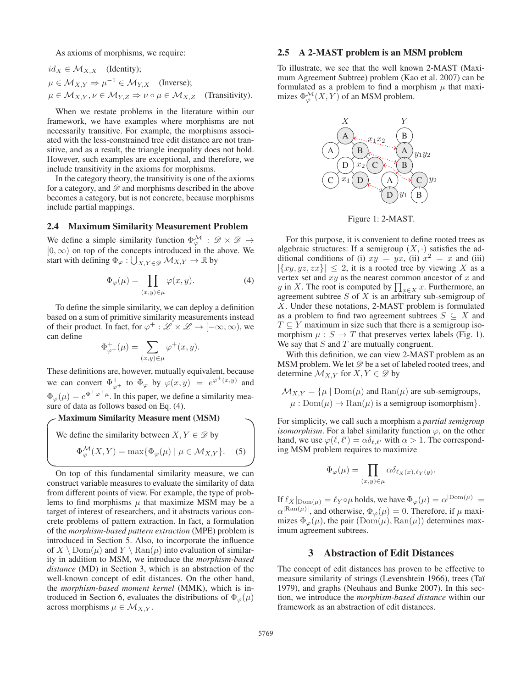As axioms of morphisms, we require:

$$
id_X \in \mathcal{M}_{X,X} \quad \text{(Identity)};
$$
\n
$$
\mu \in \mathcal{M}_{X,Y} \Rightarrow \mu^{-1} \in \mathcal{M}_{Y,X} \quad \text{(Inverse)};
$$
\n
$$
\mu \in \mathcal{M}_{X,Y}, \nu \in \mathcal{M}_{Y,Z} \Rightarrow \nu \circ \mu \in \mathcal{M}_{X,Z} \quad \text{(Transitivity)}.
$$

When we restate problems in the literature within our framework, we have examples where morphisms are not necessarily transitive. For example, the morphisms associated with the less-constrained tree edit distance are not transitive, and as a result, the triangle inequality does not hold. However, such examples are exceptional, and therefore, we include transitivity in the axioms for morphisms.

In the category theory, the transitivity is one of the axioms for a category, and  $\mathscr D$  and morphisms described in the above becomes a category, but is not concrete, because morphisms include partial mappings.

#### 2.4 Maximum Similarity Measurement Problem

We define a simple similarity function  $\Phi^{\mathcal{M}}_{\varphi}$  :  $\mathscr{D} \times \mathscr{D} \rightarrow$  $[0, \infty)$  on top of the concepts introduced in the above. We start with defining  $\Phi_{\varphi}: \bigcup_{X,Y \in \mathcal{D}} \mathcal{M}_{X,Y} \to \mathbb{R}$  by

$$
\Phi_{\varphi}(\mu) = \prod_{(x,y)\in\mu} \varphi(x,y). \tag{4}
$$

To define the simple similarity, we can deploy a definition based on a sum of primitive similarity measurements instead of their product. In fact, for  $\varphi^+ : \mathscr{L} \times \mathscr{L} \to [-\infty, \infty)$ , we can define

$$
\Phi_{\varphi^+}^+(\mu) = \sum_{(x,y)\in\mu} \varphi^+(x,y).
$$

These definitions are, however, mutually equivalent, because we can convert  $\Phi_{\varphi^+}^+$  to  $\Phi_{\varphi}$  by  $\varphi(x, y) = e^{\varphi^+(x, y)}$  and  $\Phi_{\varphi}(\mu) = e^{\Phi^+\varphi^+\mu}$ . In this paper, we define a similarity measure of data as follows based on Eq. (4).

## **Maximum Similarity Measure ment (MSM) -**

We define the similarity between 
$$
X, Y \in \mathcal{D}
$$
 by  
\n
$$
\Phi_{\varphi}^{\mathcal{M}}(X, Y) = \max{\Phi_{\varphi}(\mu) | \mu \in \mathcal{M}_{X,Y}}
$$
\n(5)

On top of this fundamental similarity measure, we can construct variable measures to evaluate the similarity of data from different points of view. For example, the type of problems to find morphisms  $\mu$  that maximize MSM may be a target of interest of researchers, and it abstracts various concrete problems of pattern extraction. In fact, a formulation of the *morphism-based pattern extraction* (MPE) problem is introduced in Section 5. Also, to incorporate the influence of  $X \setminus \mathrm{Dom}(\mu)$  and  $Y \setminus \mathrm{Ran}(\mu)$  into evaluation of similarity in addition to MSM, we introduce the *morphism-based distance* (MD) in Section 3, which is an abstraction of the well-known concept of edit distances. On the other hand, the *morphism-based moment kernel* (MMK), which is introduced in Section 6, evaluates the distributions of  $\Phi_{\varphi}(\mu)$ across morphisms  $\mu \in \mathcal{M}_{X,Y}$ .

## 2.5 A 2-MAST problem is an MSM problem

To illustrate, we see that the well known 2-MAST (Maximum Agreement Subtree) problem (Kao et al. 2007) can be formulated as a problem to find a morphism  $\mu$  that maximizes  $\Phi_{\varphi}^{\mathcal{M}}(X, Y)$  of an MSM problem.



Figure 1: 2-MAST.

For this purpose, it is convenient to define rooted trees as algebraic structures: If a semigroup  $(X, \cdot)$  satisfies the additional conditions of (i)  $xy = yx$ , (ii)  $x^2 = x$  and (iii)  $|\{xy, yz, zx\}| \leq 2$ , it is a rooted tree by viewing X as a vertex set and  $xy$  as the nearest common ancestor of  $x$  and y in X. The root is computed by  $\prod_{x \in X} x$ . Furthermore, an agreement subtree  $S$  of  $\overline{X}$  is an arbitrary sub-semigroup of X. Under these notations, 2-MAST problem is formulated as a problem to find two agreement subtrees  $S \subseteq X$  and  $T \subseteq Y$  maximum in size such that there is a semigroup isomorphism  $\mu : S \to T$  that preserves vertex labels (Fig. 1). We say that  $S$  and  $T$  are mutually congruent.

With this definition, we can view 2-MAST problem as an MSM problem. We let  $\mathscr{D}$  be a set of labeled rooted trees, and determine  $\mathcal{M}_{X,Y}$  for  $X, Y \in \mathscr{D}$  by

$$
\mathcal{M}_{X,Y} = \{ \mu \mid \text{Dom}(\mu) \text{ and } \text{Ran}(\mu) \text{ are sub-semigroups, } \mu : \text{Dom}(\mu) \to \text{Ran}(\mu) \text{ is a semigroup isomorphism} \}.
$$

For simplicity, we call such a morphism a *partial semigroup isomorphism*. For a label similarity function  $\varphi$ , on the other hand, we use  $\varphi(\ell, \ell') = \alpha \delta_{\ell, \ell'}$  with  $\alpha > 1$ . The corresponding MSM problem requires to maximize

$$
\Phi_{\varphi}(\mu) = \prod_{(x,y)\in\mu} \alpha \delta_{\ell_X(x),\ell_Y(y)}.
$$

If  $\ell_X|_{\mathrm{Dom}(\mu)} = \ell_Y \circ \mu$  holds, we have  $\Phi_{\varphi}(\mu) = \alpha^{|{\mathrm{Dom}(\mu)}|} =$  $\alpha^{|{\rm Ran}(\mu)|}$ , and otherwise,  $\Phi_{\varphi}(\mu)=0$ . Therefore, if  $\mu$  maximizes  $\Phi_{\varphi}(\mu)$ , the pair  $(Dom(\mu), Ran(\mu))$  determines maximum agreement subtrees.

### 3 Abstraction of Edit Distances

The concept of edit distances has proven to be effective to measure similarity of strings (Levenshtein 1966), trees (Taï 1979), and graphs (Neuhaus and Bunke 2007). In this section, we introduce the *morphism-based distance* within our framework as an abstraction of edit distances.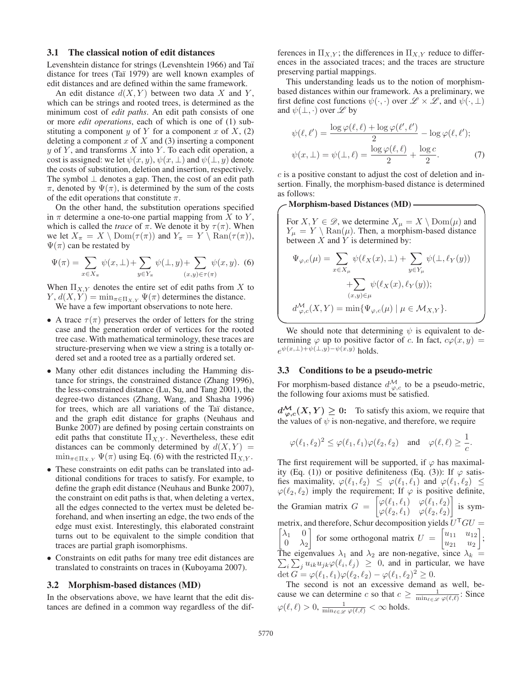#### 3.1 The classical notion of edit distances

Levenshtein distance for strings (Levenshtein 1966) and Taï distance for trees (Taï 1979) are well known examples of edit distances and are defined within the same framework.

An edit distance  $d(X, Y)$  between two data X and Y, which can be strings and rooted trees, is determined as the minimum cost of *edit paths*. An edit path consists of one or more *edit operations*, each of which is one of (1) substituting a component y of Y for a component x of X,  $(2)$ deleting a component  $x$  of  $X$  and (3) inserting a component  $y$  of  $Y$ , and transforms  $X$  into  $Y$ . To each edit operation, a cost is assigned: we let  $\psi(x, y)$ ,  $\psi(x, \perp)$  and  $\psi(\perp, y)$  denote the costs of substitution, deletion and insertion, respectively. The symbol  $\perp$  denotes a gap. Then, the cost of an edit path π, denoted by  $\Psi(\pi)$ , is determined by the sum of the costs of the edit operations that constitute  $\pi$ .

On the other hand, the substitution operations specified in  $\pi$  determine a one-to-one partial mapping from X to Y, which is called the *trace* of  $\pi$ . We denote it by  $\tau(\pi)$ . When we let  $X_{\pi} = X \setminus \text{Dom}(\tau(\pi))$  and  $Y_{\pi} = Y \setminus \text{Ran}(\tau(\pi)),$  $\Psi(\pi)$  can be restated by

$$
\Psi(\pi) = \sum_{x \in X_{\pi}} \psi(x, \perp) + \sum_{y \in Y_{\pi}} \psi(\perp, y) + \sum_{(x, y) \in \tau(\pi)} \psi(x, y). \tag{6}
$$

When  $\Pi_{X,Y}$  denotes the entire set of edit paths from X to  $Y, d(X, Y) = \min_{\pi \in \Pi_{X,Y}} \Psi(\pi)$  determines the distance. We have a few important observations to note here.

- A trace  $\tau(\pi)$  preserves the order of letters for the string case and the generation order of vertices for the rooted tree case. With mathematical terminology, these traces are structure-preserving when we view a string is a totally ordered set and a rooted tree as a partially ordered set.
- Many other edit distances including the Hamming distance for strings, the constrained distance (Zhang 1996), the less-constrained distance (Lu, Su, and Tang 2001), the degree-two distances (Zhang, Wang, and Shasha 1996) for trees, which are all variations of the Taï distance, and the graph edit distance for graphs (Neuhaus and Bunke 2007) are defined by posing certain constraints on edit paths that constitute  $\Pi_{X,Y}$ . Nevertheless, these edit distances can be commonly determined by  $d(X, Y) =$  $\min_{\pi \in \Pi_{X,Y}} \Psi(\pi)$  using Eq. (6) with the restricted  $\Pi_{X,Y}$ .
- These constraints on edit paths can be translated into additional conditions for traces to satisfy. For example, to define the graph edit distance (Neuhaus and Bunke 2007), the constraint on edit paths is that, when deleting a vertex, all the edges connected to the vertex must be deleted beforehand, and when inserting an edge, the two ends of the edge must exist. Interestingly, this elaborated constraint turns out to be equivalent to the simple condition that traces are partial graph isomorphisms.
- Constraints on edit paths for many tree edit distances are translated to constraints on traces in (Kuboyama 2007).

#### 3.2 Morphism-based distances (MD)

In the observations above, we have learnt that the edit distances are defined in a common way regardless of the dif-

ferences in  $\Pi_{X,Y}$ ; the differences in  $\Pi_{X,Y}$  reduce to differences in the associated traces; and the traces are structure preserving partial mappings.

This understanding leads us to the notion of morphismbased distances within our framework. As a preliminary, we first define cost functions  $\psi(\cdot, \cdot)$  over  $\mathscr{L} \times \mathscr{L}$ , and  $\psi(\cdot, \perp)$ and  $\psi(\perp, \cdot)$  over  $\mathscr L$  by

$$
\psi(\ell, \ell') = \frac{\log \varphi(\ell, \ell) + \log \varphi(\ell', \ell')}{2} - \log \varphi(\ell, \ell');
$$

$$
\psi(x, \perp) = \psi(\perp, \ell) = \frac{\log \varphi(\ell, \ell)}{2} + \frac{\log c}{2}.
$$
 (7)

c is a positive constant to adjust the cost of deletion and insertion. Finally, the morphism-based distance is determined as follows:

**✓ ✏** Morphism-based Distances (MD)

For  $X, Y \in \mathscr{D}$ , we determine  $X_{\mu} = X \setminus \text{Dom}(\mu)$  and  $Y_{\mu} = Y \setminus \text{Ran}(\mu)$ . Then, a morphism-based distance between  $X$  and  $Y$  is determined by:

$$
\Psi_{\varphi,c}(\mu) = \sum_{x \in X_{\mu}} \psi(\ell_X(x), \perp) + \sum_{y \in Y_{\mu}} \psi(\perp, \ell_Y(y))
$$

$$
+ \sum_{(x,y) \in \mu} \psi(\ell_X(x), \ell_Y(y));
$$

$$
d_{\varphi,c}^{\mathcal{M}}(X, Y) = \min{\{\Psi_{\varphi,c}(\mu) \mid \mu \in \mathcal{M}_{X,Y}\}}.
$$

**✒ ✑** We should note that determining  $\psi$  is equivalent to determining  $\varphi$  up to positive factor of c. In fact,  $c\varphi(x, y) =$  $e^{\psi(x,\perp)+\psi(\perp,y)-\psi(x,y)}$  holds.

### 3.3 Conditions to be a pseudo-metric

For morphism-based distance  $d_{\varphi,c}^{\mathcal{M}}$  to be a pseudo-metric, the following four axioms must be satisfied.

 $d_{\varphi,c}^{\mathcal{M}}(X,Y) \geq 0$ : To satisfy this axiom, we require that the values of  $\psi$  is non-negative, and therefore, we require

$$
\varphi(\ell_1, \ell_2)^2 \leq \varphi(\ell_1, \ell_1)\varphi(\ell_2, \ell_2) \quad \text{and} \quad \varphi(\ell, \ell) \geq \frac{1}{c}.
$$

The first requirement will be supported, if  $\varphi$  has maximality (Eq. (1)) or positive definiteness (Eq. (3)): If  $\varphi$  satisfies maximality,  $\varphi(\ell_1, \ell_2) \leq \varphi(\ell_1, \ell_1)$  and  $\varphi(\ell_1, \ell_2) \leq$  $\varphi(\ell_2, \ell_2)$  imply the requirement; If  $\varphi$  is positive definite, the Gramian matrix  $G = \begin{bmatrix} \varphi(\ell_1, \ell_1) & \varphi(\ell_1, \ell_2) \\ \varphi(\ell_2, \ell_1) & \varphi(\ell_2, \ell_2) \end{bmatrix}$  $\varphi(\ell_2, \ell_1) \quad \varphi(\ell_2, \ell_2)$  $\Big]$  is symmetrix, and therefore, Schur decomposition yields  $\overline{U}$  $\lceil$  ${}^{\mathsf{T}}GU=$  $\lambda_1$  0  $\overline{0}$   $\lambda_2$ for some orthogonal matrix  $U = \begin{bmatrix} u_{11} & u_{12} \\ u_{21} & u_2 \end{bmatrix}$  ; The eigenvalues The eigenvalues  $\lambda_1$  and  $\lambda_2$  are non-negative, since  $\lambda_k = \sum_i \sum_j u_{ik} u_{jk} \varphi(\ell_i, \ell_j) \geq 0$ , and in particular, we have det  $G = \varphi(\ell_1, \ell_1) \varphi(\ell_2, \ell_2) - \varphi(\ell_1, \ell_2)^2 \geq 0.$ 

The second is not an excessive demand as well, because we can determine c so that  $c \ge \frac{1}{\min_{\ell \in \mathscr{L}} \varphi(\ell,\ell)}$ : Since  $\varphi(\ell,\ell) > 0, \frac{1}{\min_{\ell \in \mathscr{L}} \varphi(\ell,\ell)} < \infty$  holds.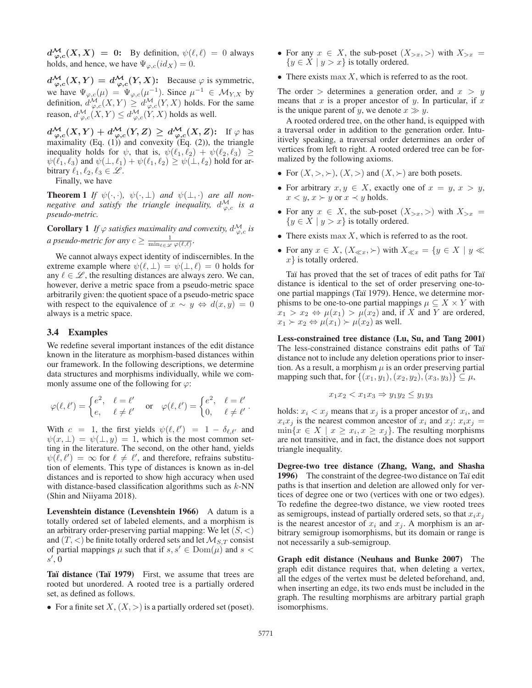$d_{\varphi,c}^{\mathcal{M}}(X,X) = 0$ : By definition,  $\psi(\ell,\ell) = 0$  always holds, and hence, we have  $\Psi_{\varphi,c}(id_X)=0$ .

 $d_{\varphi,c}^{\mathcal{M}}(X,Y) = d_{\varphi,c}^{\mathcal{M}}(Y,X)$ : Because  $\varphi$  is symmetric, we have  $\Psi_{\varphi,c}(\mu)=\Psi_{\varphi,c}(\mu^{-1})$ . Since  $\mu^{-1} \in \mathcal{M}_{Y,X}$  by definition,  $d^{\mathcal{M}}_{\varphi,c}(X,Y) \geq d^{\mathcal{M}}_{\varphi,c}(Y,X)$  holds. For the same reason,  $d_{\varphi,c}^{\mathcal{M}}(X,Y) \leq d_{\varphi,c}^{\mathcal{M}}(Y,X)$  holds as well.

 $d^{\mathcal{M}}_{\varphi,c}(X,Y) + d^{\mathcal{M}}_{\varphi,c}(Y,Z) \geq d^{\mathcal{M}}_{\varphi,c}(X,Z)$ : If  $\varphi$  has maximality (Eq. (1)) and convexity (Eq. (2)), the triangle inequality holds for  $\psi$ , that is,  $\psi(\ell_1, \ell_2) + \psi(\ell_2, \ell_3) \geq$  $\psi(\ell_1, \ell_3)$  and  $\psi(\perp, \ell_1) + \psi(\ell_1, \ell_2) \ge \psi(\perp, \ell_2)$  hold for arbitrary  $\ell_1, \ell_2, \ell_3 \in \mathcal{L}$ .

Finally, we have

**Theorem 1** *If*  $\psi(\cdot, \cdot)$ ,  $\psi(\cdot, \bot)$  *and*  $\psi(\bot, \cdot)$  *are all nonnegative and satisfy the triangle inequality,*  $d_{\varphi,c}^{\mathcal{M}}$  *is a pseudo-metric.*

**Corollary 1** If  $\varphi$  satisfies maximality and convexity,  $d_{\varphi,c}^{\mathcal{M}}$  is *a* pseudo-metric for any  $c \geq \frac{1}{\min_{\ell \in \mathcal{L}} \varphi(\ell, \ell)}$ .

We cannot always expect identity of indiscernibles. In the extreme example where  $\psi(\ell, \perp) = \psi(\perp, \ell) = 0$  holds for any  $\ell \in \mathcal{L}$ , the resulting distances are always zero. We can, however, derive a metric space from a pseudo-metric space arbitrarily given: the quotient space of a pseudo-metric space with respect to the equivalence of  $x \sim y \Leftrightarrow d(x, y) = 0$ always is a metric space.

### 3.4 Examples

We redefine several important instances of the edit distance known in the literature as morphism-based distances within our framework. In the following descriptions, we determine data structures and morphisms individually, while we commonly assume one of the following for  $\varphi$ :

$$
\varphi(\ell,\ell') = \begin{cases} e^2, & \ell = \ell' \\ e, & \ell \neq \ell' \end{cases} \quad \text{or} \quad \varphi(\ell,\ell') = \begin{cases} e^2, & \ell = \ell' \\ 0, & \ell \neq \ell' \end{cases}.
$$

With  $c = 1$ , the first yields  $\psi(\ell, \ell') = 1 - \delta_{\ell, \ell'}$  and  $\psi(x, \perp) = \psi(\perp, y) = 1$ , which is the most common setting in the literature. The second, on the other hand, yields  $\psi(\ell, \ell') = \infty$  for  $\ell \neq \ell'$ , and therefore, refrains substitution of elements. This type of distances is known as in-del distances and is reported to show high accuracy when used with distance-based classification algorithms such as  $k$ -NN (Shin and Niiyama 2018).

Levenshtein distance (Levenshtein 1966) A datum is a totally ordered set of labeled elements, and a morphism is an arbitrary order-preserving partial mapping: We let  $(S, <)$ and  $(T, <)$  be finite totally ordered sets and let  $\mathcal{M}_{S,T}$  consist of partial mappings  $\mu$  such that if  $s, s' \in \text{Dom}(\mu)$  and  $s <$  $s', 0$ 

Taï distance (Taï 1979) First, we assume that trees are rooted but unordered. A rooted tree is a partially ordered set, as defined as follows.

• For a finite set  $X, (X, >)$  is a partially ordered set (poset).

- For any  $x \in X$ , the sub-poset  $(X_{\geq x}, \geq)$  with  $X_{\geq x} =$  ${y \in X \mid y > x}$  is totally ordered.
- There exists  $\max X$ , which is referred to as the root.

The order  $>$  determines a generation order, and  $x > y$ means that  $x$  is a proper ancestor of  $y$ . In particular, if  $x$ is the unique parent of y, we denote  $x \gg y$ .

A rooted ordered tree, on the other hand, is equipped with a traversal order in addition to the generation order. Intuitively speaking, a traversal order determines an order of vertices from left to right. A rooted ordered tree can be formalized by the following axioms.

- For  $(X, \gt, \gt), (X, \gt)$  and  $(X, \gt)$  are both posets.
- For arbitrary  $x, y \in X$ , exactly one of  $x = y, x > y$ ,  $x < y, x \succ y$  or  $x \prec y$  holds.
- For any  $x \in X$ , the sub-poset  $(X_{\geq x}, \geq)$  with  $X_{\geq x} =$  ${y \in \dot{X} \mid y > x}$  is totally ordered.
- There exists  $\max X$ , which is referred to as the root.
- For any  $x \in X$ ,  $(X_{\ll x}, \succ)$  with  $X_{\ll x} = \{y \in X \mid y \ll x\}$  $x$ } is totally ordered.

Taï has proved that the set of traces of edit paths for Taï distance is identical to the set of order preserving one-toone partial mappings (Taï 1979). Hence, we determine morphisms to be one-to-one partial mappings  $\mu \subseteq X \times Y$  with  $x_1 > x_2 \Leftrightarrow \mu(x_1) > \mu(x_2)$  and, if X and Y are ordered,  $x_1 > x_2 \Leftrightarrow \mu(x_1) > \mu(x_2)$  as well.

Less-constrained tree distance (Lu, Su, and Tang 2001) The less-constrained distance constrains edit paths of Taï distance not to include any deletion operations prior to insertion. As a result, a morphism  $\mu$  is an order preserving partial mapping such that, for  $\{(x_1, y_1), (x_2, y_2), (x_3, y_3)\} \subseteq \mu$ ,

$$
x_1x_2 \le x_1x_3 \Rightarrow y_1y_2 \le y_1y_3
$$

holds:  $x_i < x_j$  means that  $x_j$  is a proper ancestor of  $x_i$ , and  $x_i x_j$  is the nearest common ancestor of  $x_i$  and  $x_j$ :  $x_i x_j$  =  $\min\{x \in X \mid x \geq x_i, x \geq x_j\}.$  The resulting morphisms are not transitive, and in fact, the distance does not support triangle inequality.

Degree-two tree distance (Zhang, Wang, and Shasha 1996) The constraint of the degree-two distance on Taï edit paths is that insertion and deletion are allowed only for vertices of degree one or two (vertices with one or two edges). To redefine the degree-two distance, we view rooted trees as semigroups, instead of partially ordered sets, so that  $x_i x_j$ is the nearest ancestor of  $x_i$  and  $x_j$ . A morphism is an arbitrary semigroup isomorphisms, but its domain or range is not necessarily a sub-semigroup.

Graph edit distance (Neuhaus and Bunke 2007) The graph edit distance requires that, when deleting a vertex, all the edges of the vertex must be deleted beforehand, and, when inserting an edge, its two ends must be included in the graph. The resulting morphisms are arbitrary partial graph isomorphisms.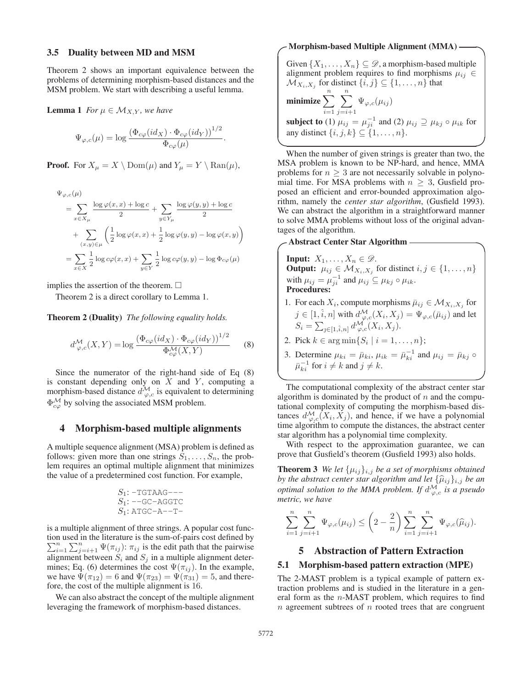#### 3.5 Duality between MD and MSM

Theorem 2 shows an important equivalence between the problems of determining morphism-based distances and the MSM problem. We start with describing a useful lemma.

**Lemma 1** *For*  $\mu \in \mathcal{M}_{X,Y}$ *, we have* 

$$
\Psi_{\varphi,c}(\mu) = \log \frac{\left(\Phi_{c\varphi}(id_X) \cdot \Phi_{c\varphi}(id_Y)\right)^{1/2}}{\Phi_{c\varphi}(\mu)}.
$$

**Proof.** For  $X_{\mu} = X \setminus \text{Dom}(\mu)$  and  $Y_{\mu} = Y \setminus \text{Ran}(\mu)$ ,

$$
\Psi_{\varphi,c}(\mu)
$$
\n
$$
= \sum_{x \in X_{\mu}} \frac{\log \varphi(x, x) + \log c}{2} + \sum_{y \in Y_{\mu}} \frac{\log \varphi(y, y) + \log c}{2}
$$
\n
$$
+ \sum_{(x, y) \in \mu} \left(\frac{1}{2} \log \varphi(x, x) + \frac{1}{2} \log \varphi(y, y) - \log \varphi(x, y)\right)
$$
\n
$$
= \sum_{x \in X} \frac{1}{2} \log c\varphi(x, x) + \sum_{y \in Y} \frac{1}{2} \log c\varphi(y, y) - \log \Phi_{c\varphi}(\mu)
$$

implies the assertion of the theorem.  $\Box$ 

Theorem 2 is a direct corollary to Lemma 1.

Theorem 2 (Duality) *The following equality holds.*

$$
d_{\varphi,c}^{\mathcal{M}}(X,Y) = \log \frac{\left(\Phi_{c\varphi}(id_X) \cdot \Phi_{c\varphi}(id_Y)\right)^{1/2}}{\Phi_{c\varphi}^{\mathcal{M}}(X,Y)} \tag{8}
$$

Since the numerator of the right-hand side of Eq (8) is constant depending only on  $X$  and  $Y$ , computing a morphism-based distance  $d_{\varphi,c}^{\mathcal{M}}$  is equivalent to determining  $\Phi_{c\varphi}^{\mathcal{M}}$  by solving the associated MSM problem.

## 4 Morphism-based multiple alignments

A multiple sequence alignment (MSA) problem is defined as follows: given more than one strings  $S_1, \ldots, S_n$ , the problem requires an optimal multiple alignment that minimizes the value of a predetermined cost function. For example,

$$
S_1: -TGTAAG---\nS_1: --GC-AGGTC\nS_1: ATGC-A---T-
$$

is a multiple alignment of three strings. A popular cost function used in the literature is the sum-of-pairs cost defined by  $\sum_{i=1}^{n} \sum_{j=i+1}^{n} \Psi(\pi_{ij})$ :  $\pi_{ij}$  is the edit path that the pairwise alignment between  $S_i$  and  $S_j$  in a multiple alignment determines; Eq. (6) determines the cost  $\Psi(\pi_{ij})$ . In the example, we have  $\Psi(\pi_{12})=6$  and  $\Psi(\pi_{23}) = \Psi(\pi_{31})=5$ , and therefore, the cost of the multiple alignment is 16.

We can also abstract the concept of the multiple alignment leveraging the framework of morphism-based distances.

### Morphism-based Multiple Alignment (MMA)

Given  $\{X_1,\ldots,X_n\}\subseteq\mathcal{D}$ , a morphism-based multiple alignment problem requires to find morphisms  $\mu_{ij} \in$  $\mathcal{M}_{X_i,X_j}$  for distinct  $\{i,j\} \subseteq \{1,\ldots,n\}$  that

**minimize** 
$$
\sum_{i=1}^{n} \sum_{j=i+1}^{n} \Psi_{\varphi,c}(\mu_{ij})
$$
  
\n**subject to** (1)  $\mu_{ij} = \mu_{ji}^{-1}$  and (2)  $\mu_{ij} \supseteq \mu_{kj} \circ \mu_{ik}$  for  
\nany distinct  $\{i, j, k\} \subseteq \{1, ..., n\}.$ 

**✒ ✑** When the number of given strings is greater than two, the MSA problem is known to be NP-hard, and hence, MMA problems for  $n \geq 3$  are not necessarily solvable in polynomial time. For MSA problems with  $n \geq 3$ , Gusfield proposed an efficient and error-bounded approximation algorithm, namely the *center star algorithm*, (Gusfield 1993). We can abstract the algorithm in a straightforward manner to solve MMA problems without loss of the original advantages of the algorithm.

## **Abstract Center Star Algorithm -**

**Input:**  $X_1, ..., X_n \in \mathcal{D}$ .<br>**Output:**  $\mu_{ij} \in \mathcal{M}_{X_i, X_j}$  for distinct  $i, j \in \{1, ..., n\}$ with  $\mu_{ij} = \mu_{ji}^{-1}$  and  $\mu_{ij} \subseteq \mu_{kj} \circ \mu_{ik}$ . Procedures:

- 1. For each  $X_i$ , compute morphisms  $\bar{\mu}_{ij} \in \mathcal{M}_{X_i,X_j}$  for  $j \in [1, \hat{i}, n]$  with  $d^{\mathcal{M}}_{\varphi, c}(X_i, X_j) = \Psi_{\varphi, c}(\bar{\mu}_{ij})$  and let  $S_i = \sum_{j \in [1, \hat{i}, n]} d_{\varphi, c}^{\mathcal{M}}(X_i, X_j).$
- 2. Pick  $k \in \arg \min \{ S_i \mid i = 1, ..., n \};$
- 3. Determine  $\mu_{ki} = \bar{\mu}_{ki}, \mu_{ik} = \bar{\mu}_{ki}^{-1}$  and  $\mu_{ij} = \bar{\mu}_{kj} \circ$  $\bar{\mu}_{ki}^{-1}$  for  $i \neq k$  and  $j \neq k$ .

**✒ ✑** The computational complexity of the abstract center star algorithm is dominated by the product of  $n$  and the computational complexity of computing the morphism-based distances  $d_{\varphi,c}^{\mathcal{M}}(X_i, X_j)$ , and hence, if we have a polynomial time algorithm to compute the distances, the abstract center star algorithm has a polynomial time complexity.

With respect to the approximation guarantee, we can prove that Gusfield's theorem (Gusfield 1993) also holds.

**Theorem 3** *We let*  $\{\mu_{ij}\}_{i,j}$  *be a set of morphisms obtained by the abstract center star algorithm and let*  $\{\widehat{\mu}_{ij}\}_{i,j}$  *be an optimal solution to the MMA problem. If*  $d_{\varphi,c}^{\mathcal{M}}$  *is a pseudo metric, we have*

$$
\sum_{i=1}^{n} \sum_{j=i+1}^{n} \Psi_{\varphi,c}(\mu_{ij}) \leq \left(2 - \frac{2}{n}\right) \sum_{i=1}^{n} \sum_{j=i+1}^{n} \Psi_{\varphi,c}(\widehat{\mu}_{ij}).
$$

### 5 Abstraction of Pattern Extraction

### 5.1 Morphism-based pattern extraction (MPE)

The 2-MAST problem is a typical example of pattern extraction problems and is studied in the literature in a general form as the n-MAST problem, which requires to find  $n$  agreement subtrees of  $n$  rooted trees that are congruent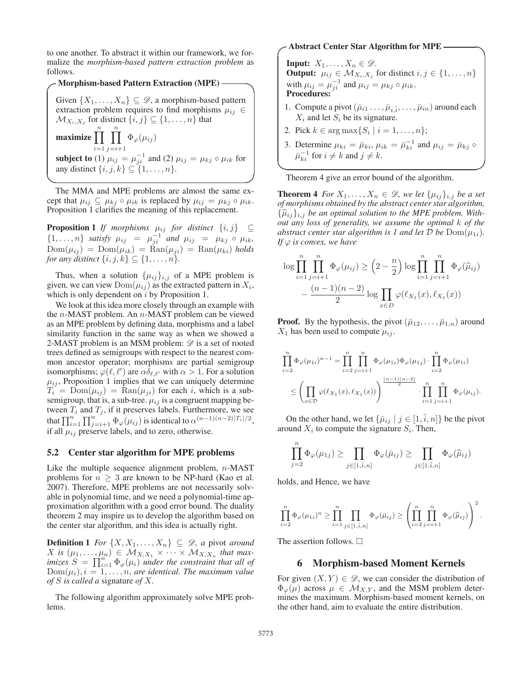to one another. To abstract it within our framework, we formalize the *morphism-based pattern extraction problem* as follows.

### **Morphism-based Pattern Extraction (MPE)** –

Given  $\{X_1,\ldots,X_n\} \subseteq \mathcal{D}$ , a morphism-based pattern extraction problem requires to find morphisms  $\mu_{ij} \in$  $\mathcal{M}_{X_i,X_j}$  for distinct  $\{i,j\} \subseteq \{1,\ldots,n\}$  that

maximize  $\prod^{n}$  $\frac{i=1}{\sqrt{1}}$  $\prod^n$  $j=i+1$  $\Phi_{\varphi}(\mu_{ij})$ **subject to** (1)  $\mu_{ij} = \mu_{ji}^{-1}$  and (2)  $\mu_{ij} = \mu_{kj} \circ \mu_{ik}$  for any distinct  $\{i, j, k\} \subseteq \{1, \ldots, n\}.$ 

**✒ ✑** The MMA and MPE problems are almost the same except that  $\mu_{ij} \subseteq \mu_{kj} \circ \mu_{ik}$  is replaced by  $\mu_{ij} = \mu_{kj} \circ \mu_{ik}$ . Proposition 1 clarifies the meaning of this replacement.

**Proposition 1** *If morphisms*  $\mu_{ij}$  *for distinct*  $\{i, j\}$  ⊆  $\{1,\ldots,n\}$  *satisfy*  $\mu_{ij} = \mu_{ji}^{-1}$  *and*  $\mu_{ij} = \mu_{kj} \circ \mu_{ik}$ ,  $\text{Dom}(\mu_{ii}) = \text{Dom}(\mu_{ik}) = \text{Ran}(\mu_{ii}) = \text{Ran}(\mu_{ki})$  holds *for any distinct*  $\{i, j, k\} \subseteq \{1, \ldots, n\}.$ 

Thus, when a solution  $\{\mu_{ij}\}_{i,j}$  of a MPE problem is given, we can view  $Dom(\mu_{ij})$  as the extracted pattern in  $X_i$ , which is only dependent on  $i$  by Proposition 1.

We look at this idea more closely through an example with the n-MAST problem. An n-MAST problem can be viewed as an MPE problem by defining data, morphisms and a label similarity function in the same way as when we showed a 2-MAST problem is an MSM problem:  $\mathscr{D}$  is a set of rooted trees defined as semigroups with respect to the nearest common ancestor operator; morphisms are partial semigroup isomorphisms;  $\varphi(\ell, \ell')$  are  $\alpha \overline{\delta}_{\ell, \ell'}$  with  $\alpha > 1$ . For a solution  $\mu_{ij}$ , Proposition 1 implies that we can uniquely determine  $T_i = \text{Dom}(\mu_{ij}) = \text{Ran}(\mu_{ji})$  for each i, which is a subsemigroup, that is, a sub-tree.  $\mu_{ij}$  is a congruent mapping between  $T_i$  and  $T_j$ , if it preserves labels. Furthermore, we see that  $\prod_{i=1}^{n} \prod_{j=i+1}^{n} \Phi_{\varphi}(\mu_{ij})$  is identical to  $\alpha^{(n-1)(n-2)|T_i|/2}$ , if all  $\mu_{ij}$  preserve labels, and to zero, otherwise.

#### 5.2 Center star algorithm for MPE problems

Like the multiple sequence alignment problem,  $n$ -MAST problems for  $n \geq 3$  are known to be NP-hard (Kao et al. 2007). Therefore, MPE problems are not necessarily solvable in polynomial time, and we need a polynomial-time approximation algorithm with a good error bound. The duality theorem 2 may inspire us to develop the algorithm based on the center star algorithm, and this idea is actually right.

**Definition 1** *For*  $\{X, X_1, \ldots, X_n\} \subseteq \mathcal{D}$ , *a* pivot *around*  $X$  is  $(\mu_1, \ldots, \mu_n) \in \mathcal{M}_{X, X_1} \times \cdots \times \mathcal{M}_{X, X_n}$  that max- $\text{imizes } \widetilde{S} = \prod_{i=1}^{n} \Phi_{\varphi}(\mu_i)$  *under the constraint that all of* Dom( $\mu_i$ )  $i = 1$  *n are identical. The maximum value*  $Dom(\mu_i), i = 1, \ldots, n$ , are identical. The maximum value *of* S *is called a* signature *of* X*.*

The following algorithm approximately solve MPE problems.

## **Abstract Center Star Algorithm for MPE**

**Input:**  $X_1, \ldots, X_n \in \mathscr{D}$ . **Output:**  $\mu_{ij} \in \mathcal{M}_{X_i, X_j}$  for distinct  $i, j \in \{1, \ldots, n\}$ with  $\mu_{ij} = \mu_{ji}^{-1}$  and  $\mu_{ij} = \mu_{kj} \circ \mu_{ik}$ . Procedures:

- 1. Compute a pivot  $(\bar{\mu}_{i1} \ldots, \bar{\mu}_{i\hat{i}}, \ldots, \bar{\mu}_{in})$  around each  $X_i$  and let  $S_i$  be its signature.
- 2. Pick  $k \in \arg \max \{ S_i \mid i = 1, ..., n \};$
- 3. Determine  $\mu_{ki} = \bar{\mu}_{ki}, \mu_{ik} = \bar{\mu}_{ki}^{-1}$  and  $\mu_{ij} = \bar{\mu}_{kj} \circ$  $\bar{\mu}_{ki}^{-1}$  for  $i \neq k$  and  $j \neq k$ .

**✒ ✑** Theorem 4 give an error bound of the algorithm.

**Theorem 4** *For*  $X_1, \ldots, X_n \in \mathcal{D}$ , we let  $\{\mu_{ij}\}_{i,j}$  be a set *of morphisms obtained by the abstract center star algorithm,*  $\{\widehat{\mu}_{ij}\}_{i,j}$  be an optimal solution to the MPE problem. With*out any loss of generality, we assume the optimal* k *of the abstract center star algorithm is 1 and let*  $\mathcal{D}$  *be*  $Dom(\mu_{1i})$ *. If*  $\varphi$  *is convex, we have* 

$$
\log \prod_{i=1}^{n} \prod_{j=i+1}^{n} \Phi_{\varphi}(\mu_{ij}) \geq \left(2 - \frac{n}{2}\right) \log \prod_{i=1}^{n} \prod_{j=i+1}^{n} \Phi_{\varphi}(\widehat{\mu}_{ij}) - \frac{(n-1)(n-2)}{2} \log \prod_{x \in D} \varphi(\ell_{X_1}(x), \ell_{X_1}(x))
$$

**Proof.** By the hypothesis, the pivot  $(\bar{\mu}_{12}, \ldots, \bar{\mu}_{1n})$  around  $X_1$  has been used to compute  $\mu_{ij}$ .

$$
\prod_{i=2}^n \Phi_{\varphi}(\mu_{1i})^{n-1} = \prod_{i=2}^n \prod_{j=i+1}^n \Phi_{\varphi}(\mu_{1i}) \Phi_{\varphi}(\mu_{1j}) \cdot \prod_{i=2}^n \Phi_{\varphi}(\mu_{1i})
$$
  

$$
\leq \left(\prod_{x \in \mathcal{D}} \varphi(\ell_{X_1}(x), \ell_{X_1}(x))\right)^{\frac{(n-1)(n-2)}{2}} \cdot \prod_{i=1}^n \prod_{j=i+1}^n \Phi_{\varphi}(\mu_{ij}).
$$

On the other hand, we let  $\{\bar{\mu}_{ij} | j \in [1, \hat{i}, n]\}$  be the pivot around  $X_i$  to compute the signature  $S_i$ . Then,

$$
\prod_{j=2} \Phi_{\varphi}(\mu_{1j}) \ge \prod_{j \in [1,\hat{i},n]} \Phi_{\varphi}(\bar{\mu}_{ij}) \ge \prod_{j \in [1,\hat{i},n]} \Phi_{\varphi}(\hat{\mu}_{ij})
$$

holds, and Hence, we have

n

$$
\prod_{i=2}^n \Phi_{\varphi}(\mu_{1i})^n \ge \prod_{i=1}^n \prod_{j \in [1,\hat{i},n]} \Phi_{\varphi}(\bar{\mu}_{ij}) \ge \left(\prod_{i=2}^n \prod_{j=i+1}^n \Phi_{\varphi}(\hat{\mu}_{ij})\right)^2.
$$

The assertion follows.  $\Box$ 

### 6 Morphism-based Moment Kernels

For given  $(X, Y) \in \mathcal{D}$ , we can consider the distribution of  $\Phi_{\varphi}(\mu)$  across  $\mu \in \mathcal{M}_{X,Y}$ , and the MSM problem determines the maximum. Morphism-based moment kernels, on the other hand, aim to evaluate the entire distribution.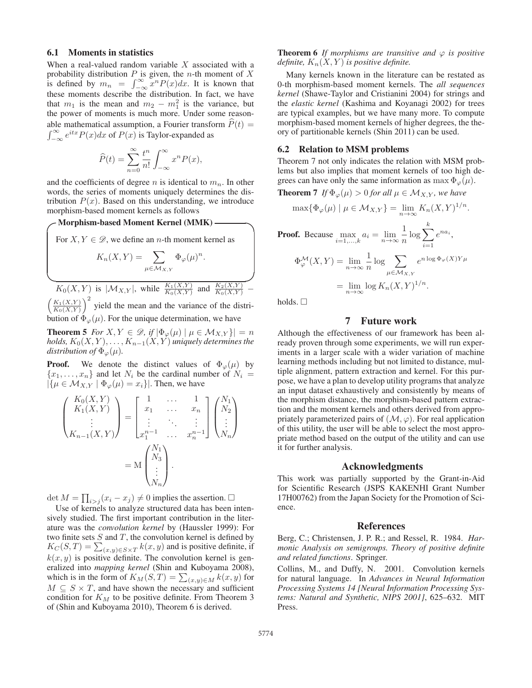### 6.1 Moments in statistics

When a real-valued random variable  $X$  associated with a probability distribution  $P$  is given, the *n*-th moment of  $X$ is defined by  $m_n = \int_{-\infty}^{\infty} x^n P(x) dx$ . It is known that these moments describe the distribution. In fact, we have that  $m_1$  is the mean and  $m_2 - m_1^2$  is the variance, but<br>the power of moments is much more. Under some reasonthe power of moments is much more. Under some reasonable mathematical assumption, a Fourier transform  $\hat{P}(t)$  =  $\int_{-\infty}^{\infty} e^{itx} P(x) dx$  of  $P(x)$  is Taylor-expanded as

$$
\widehat{P}(t) = \sum_{n=0}^{\infty} \frac{t^n}{n!} \int_{-\infty}^{\infty} x^n P(x),
$$

and the coefficients of degree n is identical to  $m_n$ . In other words, the series of moments uniquely determines the distribution  $P(x)$ . Based on this understanding, we introduce morphism-based moment kernels as follows

**Morphism-based Moment Kernel (MMK)**  
\nFor 
$$
X, Y \in \mathcal{D}
$$
, we define an *n*-th moment kernel as\n
$$
K_n(X, Y) = \sum_{\mu \in \mathcal{M}_{X,Y}} \Phi_{\varphi}(\mu)^n.
$$
\n
$$
K_0(X, Y) \text{ is } |\mathcal{M}_{X,Y}|, \text{ while } \frac{K_1(X, Y)}{K_0(X, Y)} \text{ and } \frac{K_2(X, Y)}{K_0(X, Y)} -
$$

 $K_0(X, Y)$  is  $|\mathcal{M}_{X, Y}|$ , while  $\frac{K_1(X, Y)}{K_0(X, Y)}$  and  $\frac{K_2(X, Y)}{K_0(X, Y)}$  –<br> $\left(\frac{K_1(X, Y)}{K_0(X, Y)}\right)^2$  yield the mean and the variance of the distri- $K_0(X,Y)$  $\int^2$  yield the mean and the variance of the distribution of  $\Phi_{\varphi}(\mu)$ . For the unique determination, we have

**Theorem 5** *For*  $X, Y \in \mathcal{D}$ , if  $|\Phi_{\varphi}(\mu)| \mu \in \mathcal{M}_{X,Y} \}| = n$ *holds,*  $K_0(X, Y), \ldots, K_{n-1}(X, Y)$  *uniquely determines the distribution of*  $\Phi_{\varphi}(\mu)$ *.* 

**Proof.** We denote the distinct values of  $\Phi_{\varphi}(\mu)$  by  ${x_1,...,x_n}$  and let  $N_i$  be the cardinal number of  $N_i =$  $|\{\mu \in \mathcal{M}_{X,Y} \mid \Phi_{\varphi}(\mu) = x_i\}|$ . Then, we have

$$
\begin{pmatrix} K_0(X,Y) \\ K_1(X,Y) \\ \vdots \\ K_{n-1}(X,Y) \end{pmatrix} = \begin{bmatrix} 1 & \dots & 1 \\ x_1 & \dots & x_n \\ \vdots & \ddots & \vdots \\ x_1^{n-1} & \dots & x_n^{n-1} \end{bmatrix} \begin{pmatrix} N_1 \\ N_2 \\ \vdots \\ N_n \end{pmatrix}
$$

$$
= M \begin{pmatrix} N_1 \\ N_3 \\ \vdots \\ N_n \end{pmatrix}.
$$

det  $M = \prod_{i > j} (x_i - x_j) \neq 0$  implies the assertion.  $\square$ 

Use of kernels to analyze structured data has been intensively studied. The first important contribution in the literature was the *convolution kernel* by (Haussler 1999): For two finite sets  $S$  and  $T$ , the convolution kernel is defined by  $K_C(S, T) = \sum_{(x,y)\in S\times T} k(x,y)$  and is positive definite, if  $k(x, y)$  is positive definite. The convolution kernel is generalized into *mapping kernel* (Shin and Kuboyama 2008), which is in the form of  $K_M(S,T) = \sum_{(x,y)\in M} k(x,y)$  for  $M \subset S \times T$  and have shown the necessary and sufficient  $M \subseteq S \times T$ , and have shown the necessary and sufficient condition for  $K_M$  to be positive definite. From Theorem 3 of (Shin and Kuboyama 2010), Theorem 6 is derived.

**Theorem 6** *If morphisms are transitive and*  $\varphi$  *is positive definite,*  $K_n(X, Y)$  *is positive definite.* 

Many kernels known in the literature can be restated as 0-th morphism-based moment kernels. The *all sequences kernel* (Shawe-Taylor and Cristianini 2004) for strings and the *elastic kernel* (Kashima and Koyanagi 2002) for trees are typical examples, but we have many more. To compute morphism-based moment kernels of higher degrees, the theory of partitionable kernels (Shin 2011) can be used.

### 6.2 Relation to MSM problems

Theorem 7 not only indicates the relation with MSM problems but also implies that moment kernels of too high degrees can have only the same information as max  $\Phi_{\varphi}(\mu)$ .

**Theorem 7** *If*  $\Phi_{\varphi}(\mu) > 0$  *for all*  $\mu \in \mathcal{M}_{X,Y}$ *, we have* 

$$
\max\{\Phi_{\varphi}(\mu) \mid \mu \in \mathcal{M}_{X,Y}\} = \lim_{n \to \infty} K_n(X,Y)^{1/n}.
$$
  
**Proof.** Because  $\max_{i=1,\dots,k} a_i = \lim_{n \to \infty} \frac{1}{n} \log \sum_{i=1}^k e^{na_i},$ 

$$
\Phi_{\varphi}^{\mathcal{M}}(X, Y) = \lim_{n \to \infty} \frac{1}{n} \log \sum_{\mu \in \mathcal{M}_{X, Y}} e^{n \log \Phi_{\varphi}(X)Y\mu}
$$

$$
= \lim_{n \to \infty} \log K_n(X, Y)^{1/n}.
$$

holds.  $\square$ 

# 7 Future work

Although the effectiveness of our framework has been already proven through some experiments, we will run experiments in a larger scale with a wider variation of machine learning methods including but not limited to distance, multiple alignment, pattern extraction and kernel. For this purpose, we have a plan to develop utility programs that analyze an input dataset exhaustively and consistently by means of the morphism distance, the morphism-based pattern extraction and the moment kernels and others derived from appropriately parameterized pairs of  $(M, \varphi)$ . For real application of this utility, the user will be able to select the most appropriate method based on the output of the utility and can use it for further analysis.

### Acknowledgments

This work was partially supported by the Grant-in-Aid for Scientific Research (JSPS KAKENHI Grant Number 17H00762) from the Japan Society for the Promotion of Science.

#### References

Berg, C.; Christensen, J. P. R.; and Ressel, R. 1984. *Harmonic Analysis on semigroups. Theory of positive definite and related functions*. Springer.

Collins, M., and Duffy, N. 2001. Convolution kernels for natural language. In *Advances in Neural Information Processing Systems 14 [Neural Information Processing Systems: Natural and Synthetic, NIPS 2001]*, 625–632. MIT Press.